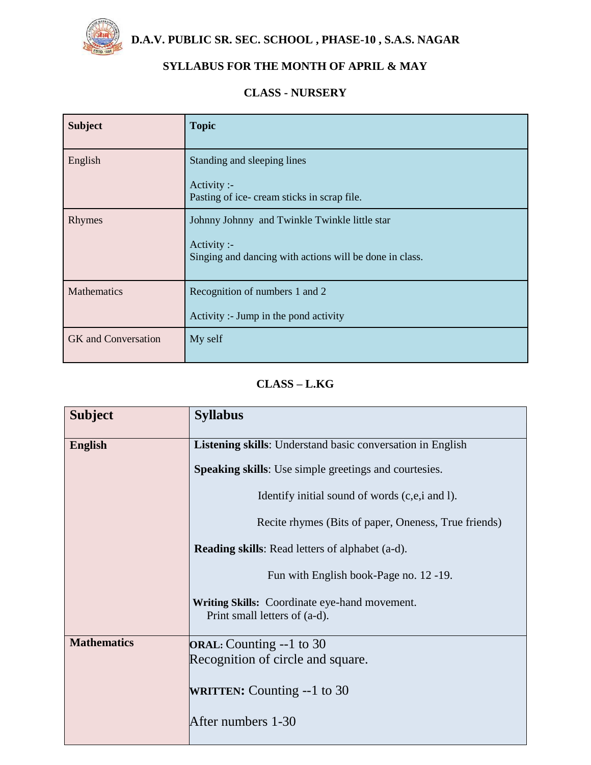

 **D.A.V. PUBLIC SR. SEC. SCHOOL , PHASE-10 , S.A.S. NAGAR**

# **SYLLABUS FOR THE MONTH OF APRIL & MAY**

#### **CLASS - NURSERY**

| <b>Subject</b>             | <b>Topic</b>                                                                                                            |
|----------------------------|-------------------------------------------------------------------------------------------------------------------------|
| English                    | Standing and sleeping lines<br>Activity :-                                                                              |
|                            | Pasting of ice-cream sticks in scrap file.                                                                              |
| Rhymes                     | Johnny Johnny and Twinkle Twinkle little star<br>Activity :-<br>Singing and dancing with actions will be done in class. |
| <b>Mathematics</b>         | Recognition of numbers 1 and 2<br>Activity :- Jump in the pond activity                                                 |
| <b>GK</b> and Conversation | My self                                                                                                                 |

# **CLASS – L.KG**

| <b>Subject</b>     | <b>Syllabus</b>                                                                |
|--------------------|--------------------------------------------------------------------------------|
| <b>English</b>     | Listening skills: Understand basic conversation in English                     |
|                    | <b>Speaking skills:</b> Use simple greetings and courtesies.                   |
|                    | Identify initial sound of words (c,e,i and I).                                 |
|                    | Recite rhymes (Bits of paper, Oneness, True friends)                           |
|                    | <b>Reading skills:</b> Read letters of alphabet (a-d).                         |
|                    | Fun with English book-Page no. 12 -19.                                         |
|                    | Writing Skills: Coordinate eye-hand movement.<br>Print small letters of (a-d). |
| <b>Mathematics</b> | <b>ORAL:</b> Counting --1 to 30                                                |
|                    | Recognition of circle and square.                                              |
|                    | <b>WRITTEN:</b> Counting $-1$ to 30                                            |
|                    | After numbers 1-30                                                             |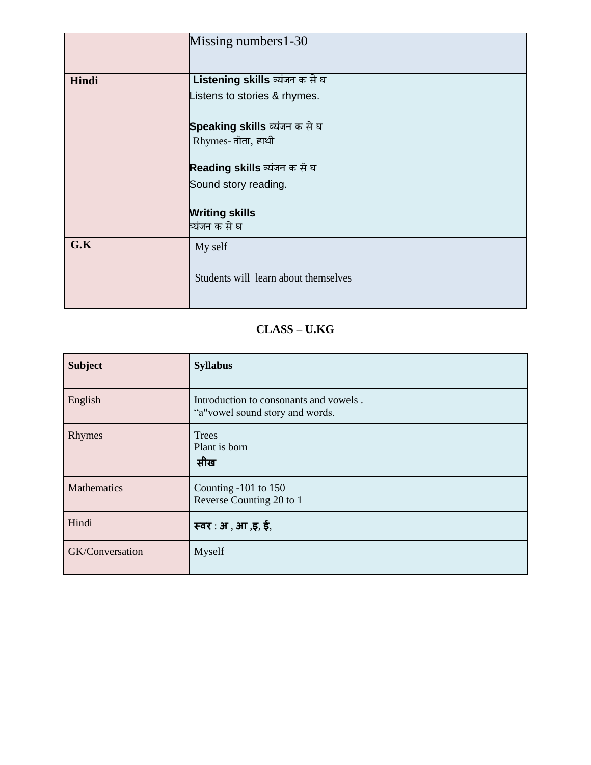|       | Missing numbers 1-30                 |
|-------|--------------------------------------|
|       |                                      |
| Hindi | Listening skills व्यंजन क से घ       |
|       | Listens to stories & rhymes.         |
|       | Speaking skills व्यंजन क से घ        |
|       | Rhymes- तोता, हाथी                   |
|       | Reading skills व्यंजन क से घ         |
|       | Sound story reading.                 |
|       | <b>Writing skills</b>                |
|       | व्यंजन क से घ                        |
| G.K   | My self                              |
|       | Students will learn about themselves |

### **CLASS – U.KG**

| <b>Subject</b>     | <b>Syllabus</b>                                                           |
|--------------------|---------------------------------------------------------------------------|
| English            | Introduction to consonants and vowels.<br>"a"vowel sound story and words. |
| Rhymes             | <b>Trees</b><br>Plant is born<br>सीख                                      |
| <b>Mathematics</b> | Counting $-101$ to $150$<br>Reverse Counting 20 to 1                      |
| Hindi              | स्वर: अ, आ, इ, ई,                                                         |
| GK/Conversation    | Myself                                                                    |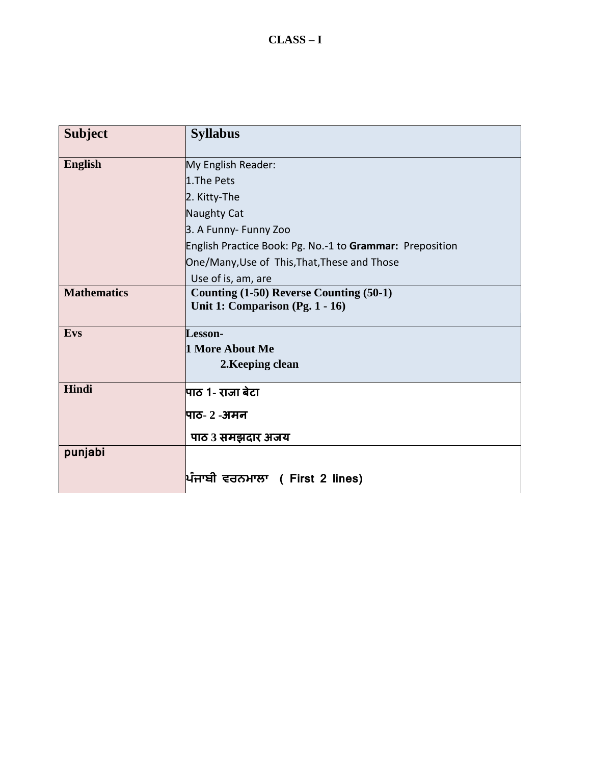| <b>Subject</b>     | <b>Syllabus</b>                                                            |
|--------------------|----------------------------------------------------------------------------|
| <b>English</b>     | My English Reader:                                                         |
|                    | 1. The Pets                                                                |
|                    | 2. Kitty-The                                                               |
|                    | Naughty Cat                                                                |
|                    | 3. A Funny- Funny Zoo                                                      |
|                    | English Practice Book: Pg. No.-1 to Grammar: Preposition                   |
|                    | One/Many, Use of This, That, These and Those                               |
|                    | Use of is, am, are                                                         |
| <b>Mathematics</b> | Counting (1-50) Reverse Counting (50-1)<br>Unit 1: Comparison (Pg. 1 - 16) |
| <b>Evs</b>         | Lesson-                                                                    |
|                    | 1 More About Me                                                            |
|                    | 2. Keeping clean                                                           |
| Hindi              | पाठ 1- राजा बेटा                                                           |
|                    | पाठ- २ -अमन                                                                |
|                    | पाठ 3 समझदार अजय                                                           |
| punjabi            |                                                                            |
|                    | ਪਿੰਜਾਬੀ ਵਰਨਮਾਲਾ (First 2 lines)                                            |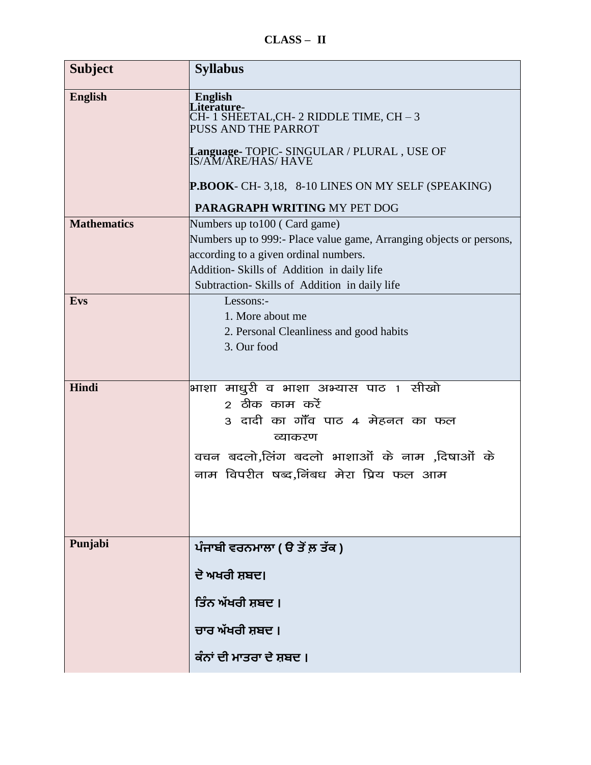**CLASS – II**

| <b>Subject</b>     | <b>Syllabus</b>                                                                                                                                                                                                                                                                 |
|--------------------|---------------------------------------------------------------------------------------------------------------------------------------------------------------------------------------------------------------------------------------------------------------------------------|
| <b>English</b>     | <b>English</b><br>iterature-<br>CH- 1 SHEETAL,CH- 2 RIDDLE TIME, CH – 3<br><b>PUSS AND THE PARROT</b><br><b>Language- TOPIC- SINGULAR / PLURAL , USE OF<br/>IS/AM/ARE/HAS/ HAVE</b><br>P.BOOK- CH-3,18, 8-10 LINES ON MY SELF (SPEAKING)<br><b>PARAGRAPH WRITING MY PET DOG</b> |
| <b>Mathematics</b> | Numbers up to 100 (Card game)<br>Numbers up to 999:- Place value game, Arranging objects or persons,<br>according to a given ordinal numbers.<br>Addition-Skills of Addition in daily life<br>Subtraction-Skills of Addition in daily life                                      |
| <b>Evs</b>         | Lessons:-<br>1. More about me<br>2. Personal Cleanliness and good habits<br>3. Our food                                                                                                                                                                                         |
| Hindi              | भाशा माधुरी व भाशा अभ्यास पाठ 1 सीखो<br>2 ठीक काम करें<br>3 दादी का गाँव पाठ 4 मेहनत का फल<br>व्याकरण<br>वचन बदलो,लिंग बदलो भाशाओं के नाम ,दिषाओं के<br>नाम विपरीत षब्द,निंबध मेरा प्रिय फल आम                                                                                  |
| Punjabi            | ਪੰਜਾਬੀ ਵਰਨਮਾਲਾ ( ੳ ਤੋਂ ਲ਼ ਤੱਕ )                                                                                                                                                                                                                                                 |
|                    | ਦੇ ਅਖਰੀ ਸ਼ਬਦ।<br>ਤਿੰਨ ਅੱਖਰੀ ਸ਼ਬਦ ।                                                                                                                                                                                                                                              |
|                    | ਚਾਰ ਅੱਖਰੀ ਸ਼ਬਦ ।                                                                                                                                                                                                                                                                |
|                    | ਕੰਨਾਂ ਦੀ ਮਾਤਰਾ ਦੇ ਸ਼ਬਦ ।                                                                                                                                                                                                                                                        |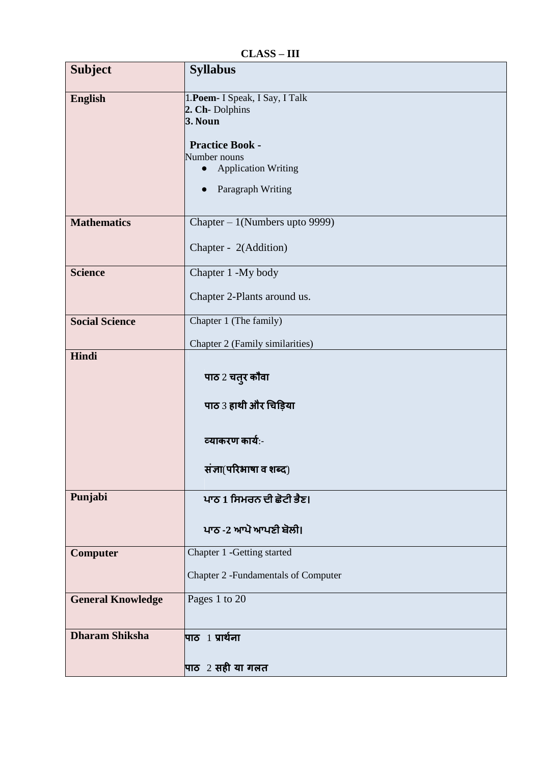**CLASS – III**

| <b>Subject</b>           | <b>Syllabus</b>                                                                                                                                          |
|--------------------------|----------------------------------------------------------------------------------------------------------------------------------------------------------|
| <b>English</b>           | 1. Poem- I Speak, I Say, I Talk<br>2. Ch-Dolphins<br><b>3. Noun</b><br><b>Practice Book -</b><br>Number nouns<br><b>Application Writing</b><br>$\bullet$ |
|                          | Paragraph Writing<br>$\bullet$                                                                                                                           |
| <b>Mathematics</b>       | Chapter - 1(Numbers upto 9999)<br>Chapter - 2(Addition)                                                                                                  |
| <b>Science</b>           | Chapter 1 -My body<br>Chapter 2-Plants around us.                                                                                                        |
| <b>Social Science</b>    | Chapter 1 (The family)<br>Chapter 2 (Family similarities)                                                                                                |
| Hindi                    | पाठ 2 चतुर कौवा<br>पाठ 3 हाथी और चिड़िया                                                                                                                 |
|                          | व्याकरण कार्य:-<br>संज्ञा(परिभाषा व शब्द)                                                                                                                |
| Punjabi                  | ਪਾਠ 1 ਸਿਮਰਨ ਦੀ ਛੋਟੀ ਭੈਣ।<br>ਪਾਠ -2 ਆਪੋ ਆਪਣੀ ਬੋਲੀ।                                                                                                        |
| <b>Computer</b>          | Chapter 1 - Getting started<br><b>Chapter 2 - Fundamentals of Computer</b>                                                                               |
| <b>General Knowledge</b> | Pages 1 to 20                                                                                                                                            |
| <b>Dharam Shiksha</b>    | पाठ $\,$ $\,$ 1 प्रार्थना<br>पाठ 2 सही या गलत                                                                                                            |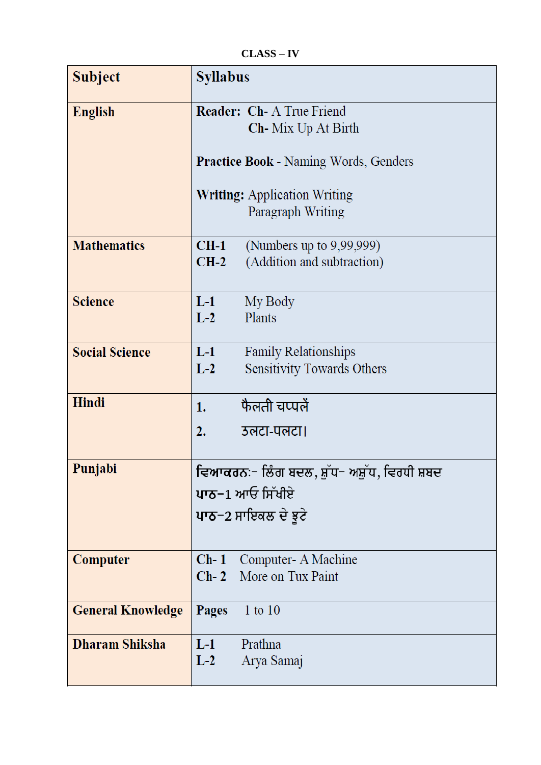**CLASS – IV**

| <b>Subject</b>           | <b>Syllabus</b>                                          |
|--------------------------|----------------------------------------------------------|
| <b>English</b>           | <b>Reader: Ch-A True Friend</b>                          |
|                          | <b>Ch</b> -Mix Up At Birth                               |
|                          |                                                          |
|                          | <b>Practice Book - Naming Words, Genders</b>             |
|                          |                                                          |
|                          | <b>Writing:</b> Application Writing<br>Paragraph Writing |
|                          |                                                          |
| <b>Mathematics</b>       | CH-1<br>(Numbers up to 9,99,999)                         |
|                          | (Addition and subtraction)<br>$CH-2$                     |
|                          |                                                          |
| <b>Science</b>           | $L-1$<br>My Body                                         |
|                          | Plants<br>$L-2$                                          |
|                          |                                                          |
| <b>Social Science</b>    | $L-1$<br><b>Family Relationships</b>                     |
|                          | Sensitivity Towards Others<br>$L-2$                      |
|                          |                                                          |
| Hindi                    | फैलती चप्पलें<br>1.                                      |
|                          | 2.<br>उलटा-पलटा।                                         |
|                          |                                                          |
| Punjabi                  | ਵਿਆਕਰਨ≔ ਲਿੰਗ ਬਦਲ, ਸ਼ੁੱਧ− ਅਸ਼ੁੱਧ, ਵਿਰਧੀ ਸ਼ਬਦ              |
|                          | ਪਾਠ−1 ਆਓ ਸਿੱਖੀਏ                                          |
|                          | ਪਾਠ−2 ਸਾਇਕਲ ਦੇ ਝੁਟੇ                                      |
|                          |                                                          |
|                          |                                                          |
| Computer                 | Computer- A Machine<br>$Ch-1$                            |
|                          | <b>Ch-2</b> More on Tux Paint                            |
| <b>General Knowledge</b> | Pages<br>$1$ to $10$                                     |
|                          |                                                          |
| Dharam Shiksha           | $L-1$<br>Prathna                                         |
|                          | $L-2$<br>Arya Samaj                                      |
|                          |                                                          |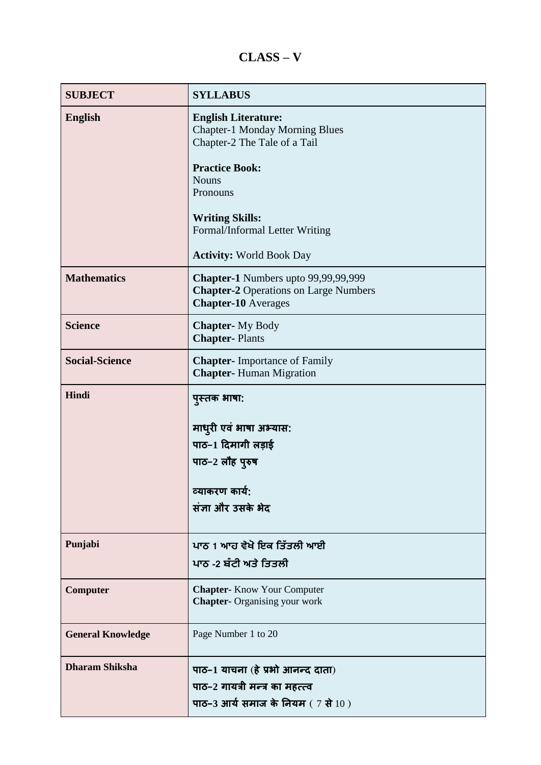# **CLASS – V**

| <b>SUBJECT</b>           | <b>SYLLABUS</b>                                                                                                                                                                                                                                         |
|--------------------------|---------------------------------------------------------------------------------------------------------------------------------------------------------------------------------------------------------------------------------------------------------|
| <b>English</b>           | <b>English Literature:</b><br><b>Chapter-1 Monday Morning Blues</b><br>Chapter-2 The Tale of a Tail<br><b>Practice Book:</b><br><b>Nouns</b><br>Pronouns<br><b>Writing Skills:</b><br>Formal/Informal Letter Writing<br><b>Activity: World Book Day</b> |
| <b>Mathematics</b>       | Chapter-1 Numbers upto 99,99,99,999<br><b>Chapter-2 Operations on Large Numbers</b><br><b>Chapter-10</b> Averages                                                                                                                                       |
| <b>Science</b>           | <b>Chapter-</b> My Body<br><b>Chapter-Plants</b>                                                                                                                                                                                                        |
| <b>Social-Science</b>    | <b>Chapter-</b> Importance of Family<br><b>Chapter-Human Migration</b>                                                                                                                                                                                  |
| Hindi                    | पुस्तक भाषा:<br>माधुरी एवं भाषा अभ्यास:<br>पाठ-1 दिमागी लड़ाई<br>पाठ-2 लौह पुरुष<br>व्याकरण कार्य:<br>संज्ञा और उसके भेद                                                                                                                                |
| Punjabi                  | ਪਾਠ 1 ਆਹ ਵੇਖੋ ਇਕ ਤਿੱਤਲੀ ਆਈ<br>ਪਾਠ -2 ਬੰਟੀ ਅਤੇ ਤਿਤਲੀ                                                                                                                                                                                                     |
| Computer                 | <b>Chapter-</b> Know Your Computer<br><b>Chapter-</b> Organising your work                                                                                                                                                                              |
| <b>General Knowledge</b> | Page Number 1 to 20                                                                                                                                                                                                                                     |
| <b>Dharam Shiksha</b>    | पाठ-1 याचना (हे प्रभो आनन्द दाता)<br>पाठ-2 गायत्री मन्त्र का महत्त्व<br>पाठ-3 आर्य समाज के नियम (7 से 10)                                                                                                                                               |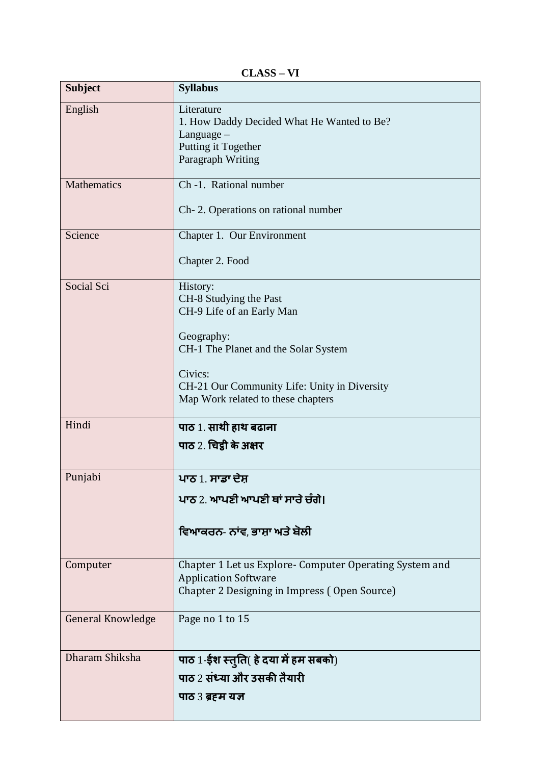**CLASS – VI**

| <b>Subject</b>           | <b>Syllabus</b>                                                                                                                                                                                                        |
|--------------------------|------------------------------------------------------------------------------------------------------------------------------------------------------------------------------------------------------------------------|
| English                  | Literature<br>1. How Daddy Decided What He Wanted to Be?<br>Language $-$<br>Putting it Together<br>Paragraph Writing                                                                                                   |
| <b>Mathematics</b>       | Ch -1. Rational number<br>Ch-2. Operations on rational number                                                                                                                                                          |
| Science                  | Chapter 1. Our Environment<br>Chapter 2. Food                                                                                                                                                                          |
| Social Sci               | History:<br>CH-8 Studying the Past<br>CH-9 Life of an Early Man<br>Geography:<br>CH-1 The Planet and the Solar System<br>Civics:<br>CH-21 Our Community Life: Unity in Diversity<br>Map Work related to these chapters |
| Hindi                    | पाठ 1. साथी हाथ बढाना<br>पाठ 2. चिट्ठी के अक्षर                                                                                                                                                                        |
| Punjabi                  | ਪਾਠ 1. ਸਾਡਾ ਦੇਸ਼<br>ਪਾਨ 2. ਆਪਣੀ ਆਪਣੀ ਥਾਂ ਸਾਰੇ ਚੰਗੇ।<br>ਵਿਆਕਰਨ- ਨਾਂਵ, ਭਾਸ਼ਾ ਅਤੇ ਬੋਲੀ                                                                                                                                    |
| Computer                 | Chapter 1 Let us Explore- Computer Operating System and<br><b>Application Software</b><br>Chapter 2 Designing in Impress (Open Source)                                                                                 |
| <b>General Knowledge</b> | Page no 1 to 15                                                                                                                                                                                                        |
| Dharam Shiksha           | पाठ 1-ईश स्तुति( हे दया में हम सबको)<br>पाठ 2 संध्या और उसकी तैयारी<br>पाठ 3 ब्रहम यज्ञ                                                                                                                                |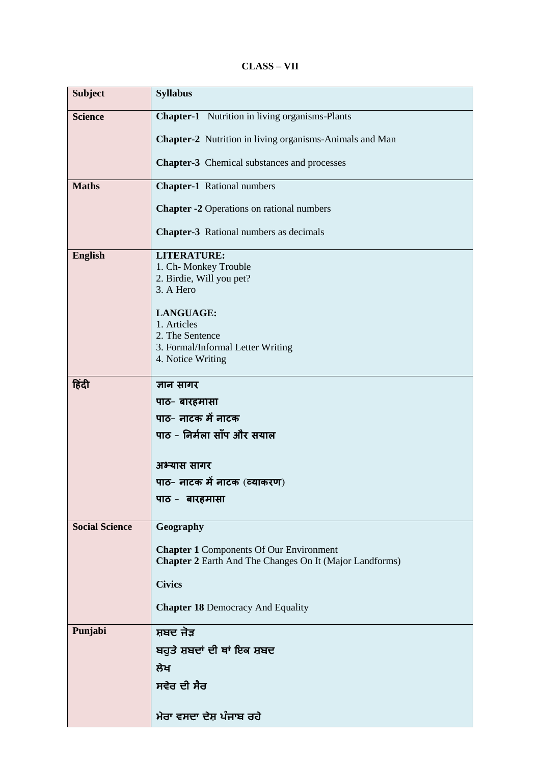#### **CLASS – VII**

| <b>Subject</b>        | <b>Syllabus</b>                                                |
|-----------------------|----------------------------------------------------------------|
| <b>Science</b>        | <b>Chapter-1</b> Nutrition in living organisms-Plants          |
|                       | <b>Chapter-2</b> Nutrition in living organisms-Animals and Man |
|                       | <b>Chapter-3</b> Chemical substances and processes             |
| <b>Maths</b>          | <b>Chapter-1</b> Rational numbers                              |
|                       |                                                                |
|                       | <b>Chapter -2 Operations on rational numbers</b>               |
|                       | <b>Chapter-3</b> Rational numbers as decimals                  |
| <b>English</b>        | <b>LITERATURE:</b>                                             |
|                       | 1. Ch- Monkey Trouble<br>2. Birdie, Will you pet?              |
|                       | 3. A Hero                                                      |
|                       | LANGUAGE:                                                      |
|                       | 1. Articles<br>2. The Sentence                                 |
|                       | 3. Formal/Informal Letter Writing                              |
|                       | 4. Notice Writing                                              |
| हिंदी                 | ज्ञान सागर                                                     |
|                       | पाठ- बारहमासा                                                  |
|                       | पाठ- नाटक में नाटक                                             |
|                       | पाठ - निर्मला साँप और सयाल                                     |
|                       | अभ्यास सागर                                                    |
|                       | पाठ- नाटक में नाटक (व्याकरण)                                   |
|                       | पाठ - बारहमासा                                                 |
| <b>Social Science</b> | Geography                                                      |
|                       | <b>Chapter 1 Components Of Our Environment</b>                 |
|                       | <b>Chapter 2</b> Earth And The Changes On It (Major Landforms) |
|                       | <b>Civics</b>                                                  |
|                       | <b>Chapter 18 Democracy And Equality</b>                       |
| Punjabi               | ਸ਼ਬਦ ਜੋੜ                                                       |
|                       | ਬਹੁਤੇ ਸ਼ਬਦਾਂ ਦੀ ਥਾਂ ਇਕ ਸ਼ਬਦ                                    |
|                       | ਲੇਖ                                                            |
|                       | ਸਵੇਰ ਦੀ ਸੈਰ                                                    |
|                       |                                                                |
|                       | ਮੇਰਾ ਵਸਦਾ ਦੇਸ਼ ਪੰਜਾਬ ਰਹੇ                                       |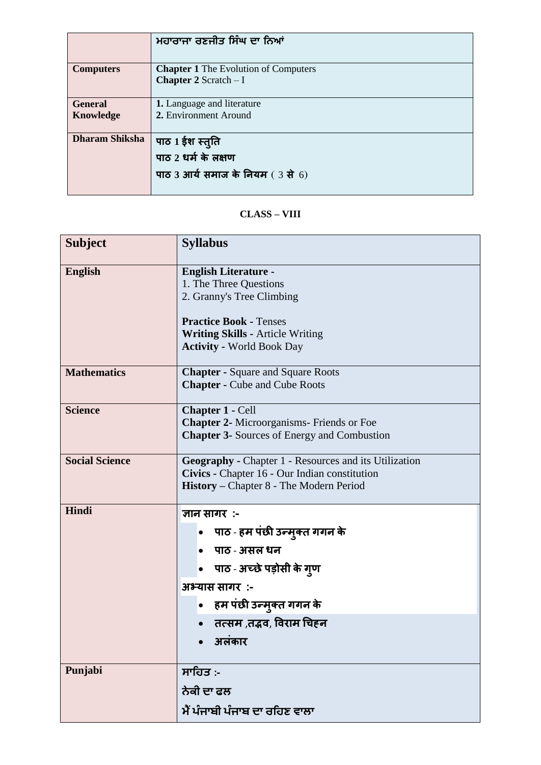|                             | ਮਹਾਰਾਜਾ ਰਣਜੀਤ ਸਿੰਘ ਦਾ ਨਿਆਂ                                                   |
|-----------------------------|------------------------------------------------------------------------------|
| <b>Computers</b>            | <b>Chapter 1</b> The Evolution of Computers<br><b>Chapter 2</b> Scratch $-I$ |
| <b>General</b><br>Knowledge | 1. Language and literature<br>2. Environment Around                          |
| <b>Dharam Shiksha</b>       | पाठ 1 ईश स्तुति<br>पाठ 2 धर्म के लक्षण<br>पाठ 3 आर्य समाज के नियम (3 से 6)   |

#### **CLASS – VIII**

| <b>Subject</b>        | <b>Syllabus</b>                                                                                                                                                                                    |
|-----------------------|----------------------------------------------------------------------------------------------------------------------------------------------------------------------------------------------------|
| <b>English</b>        | <b>English Literature -</b><br>1. The Three Questions<br>2. Granny's Tree Climbing<br><b>Practice Book - Tenses</b><br><b>Writing Skills - Article Writing</b><br><b>Activity - World Book Day</b> |
| <b>Mathematics</b>    | <b>Chapter - Square and Square Roots</b><br><b>Chapter - Cube and Cube Roots</b>                                                                                                                   |
| <b>Science</b>        | <b>Chapter 1 - Cell</b><br><b>Chapter 2-</b> Microorganisms- Friends or Foe<br><b>Chapter 3-</b> Sources of Energy and Combustion                                                                  |
| <b>Social Science</b> | <b>Geography - Chapter 1 - Resources and its Utilization</b><br>Civics - Chapter 16 - Our Indian constitution<br><b>History</b> – Chapter 8 - The Modern Period                                    |
| Hindi                 | ज्ञान सागर :-<br>पाठ - हम पंछी उन्मुक्त गगन के<br>• पाठ - असल धन<br>• पाठ - अच्छे पड़ोसी के गुण<br>अभ्यास सागर:-<br>• हम पंछी उन्मुक्त गगन के<br>• तत्सम ,तद्भव, विराम चिहन<br>• अलकार             |
| Punjabi               | ਸਾਹਿਤ :-<br>ਨੇਕੀ ਦਾ ਫਲ<br>ਮੈਂ ਪੰਜਾਬੀ ਪੰਜਾਬ ਦਾ ਰਹਿਣ ਵਾਲਾ                                                                                                                                            |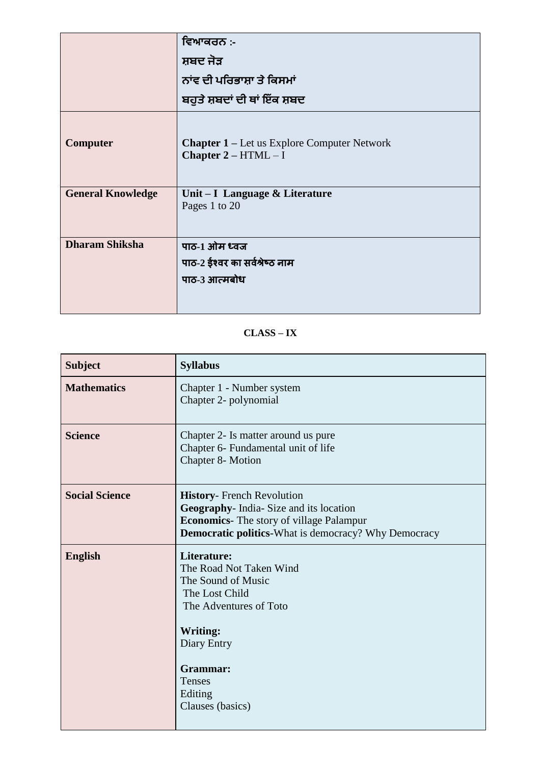|                          | ਵਿਆਕਰਨ :-                                                                    |
|--------------------------|------------------------------------------------------------------------------|
|                          | ਸ਼ਬਦ ਜੋੜ                                                                     |
|                          | ਨਾਂਵ ਦੀ ਪਰਿਭਾਸ਼ਾ ਤੇ ਕਿਸਮਾਂ                                                   |
|                          | ਬਹੁਤੇ ਸ਼ਬਦਾਂ ਦੀ ਥਾਂ ਇੱਕ ਸ਼ਬਦ                                                 |
| <b>Computer</b>          | <b>Chapter 1 – Let us Explore Computer Network</b><br>Chapter $2 - HTML - I$ |
| <b>General Knowledge</b> | Unit - I Language & Literature<br>Pages 1 to 20                              |
| <b>Dharam Shiksha</b>    | पाठ-1 ओम ध्वज                                                                |
|                          | पाठ-2 ईश्वर का सर्वश्रेष्ठ नाम                                               |
|                          | पाठ-3 आत्मबोध                                                                |
|                          |                                                                              |

## **CLASS – IX**

| <b>Subject</b>        | <b>Syllabus</b>                                                                                                                                                                                 |
|-----------------------|-------------------------------------------------------------------------------------------------------------------------------------------------------------------------------------------------|
| <b>Mathematics</b>    | Chapter 1 - Number system<br>Chapter 2- polynomial                                                                                                                                              |
| <b>Science</b>        | Chapter 2- Is matter around us pure<br>Chapter 6- Fundamental unit of life<br>Chapter 8- Motion                                                                                                 |
| <b>Social Science</b> | <b>History-</b> French Revolution<br>Geography- India- Size and its location<br><b>Economics</b> - The story of village Palampur<br><b>Democratic politics-What is democracy? Why Democracy</b> |
| <b>English</b>        | Literature:<br>The Road Not Taken Wind<br>The Sound of Music<br>The Lost Child<br>The Adventures of Toto<br><b>Writing:</b><br>Diary Entry<br>Grammar:<br>Tenses<br>Editing<br>Clauses (basics) |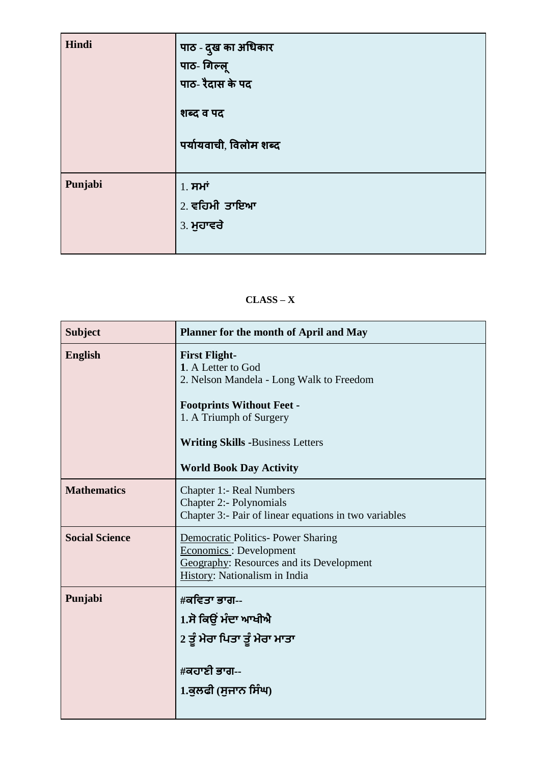| Hindi   | पाठ - दुख का अधिकार<br>पाठ- गिल्लू<br>पाठ- रैदास के पद<br>शब्द व पद<br>पर्यायवाची, विलोम शब्द |
|---------|-----------------------------------------------------------------------------------------------|
| Punjabi | $1.$ ਸਮਾਂ<br>2. ਵਹਿਮੀ ਤਾਇਆ<br>3. ਮੁਹਾਵਰੇ                                                      |

#### **CLASS – X**

| <b>Subject</b>        | Planner for the month of April and May                                                                                                                                                                                             |
|-----------------------|------------------------------------------------------------------------------------------------------------------------------------------------------------------------------------------------------------------------------------|
| <b>English</b>        | <b>First Flight-</b><br>1. A Letter to God<br>2. Nelson Mandela - Long Walk to Freedom<br><b>Footprints Without Feet -</b><br>1. A Triumph of Surgery<br><b>Writing Skills -Business Letters</b><br><b>World Book Day Activity</b> |
| <b>Mathematics</b>    | <b>Chapter 1:- Real Numbers</b><br><b>Chapter 2:- Polynomials</b><br>Chapter 3:- Pair of linear equations in two variables                                                                                                         |
| <b>Social Science</b> | Democratic Politics- Power Sharing<br>Economics: Development<br>Geography: Resources and its Development<br>History: Nationalism in India                                                                                          |
| Punjabi               | #ਕਵਿਤਾ ਭਾਗ--<br>1.ਸੋ ਕਿਉਂ ਮੰਦਾ ਆਖੀਐ<br>2 ਤੂੰ ਮੇਰਾ ਪਿਤਾ ਤੂੰ ਮੇਰਾ ਮਾਤਾ<br>#ਕਹਾਣੀ ਭਾਗ--<br>1.ਕੁਲਫੀ (ਸੁਜਾਨ ਸਿੰਘ)                                                                                                                       |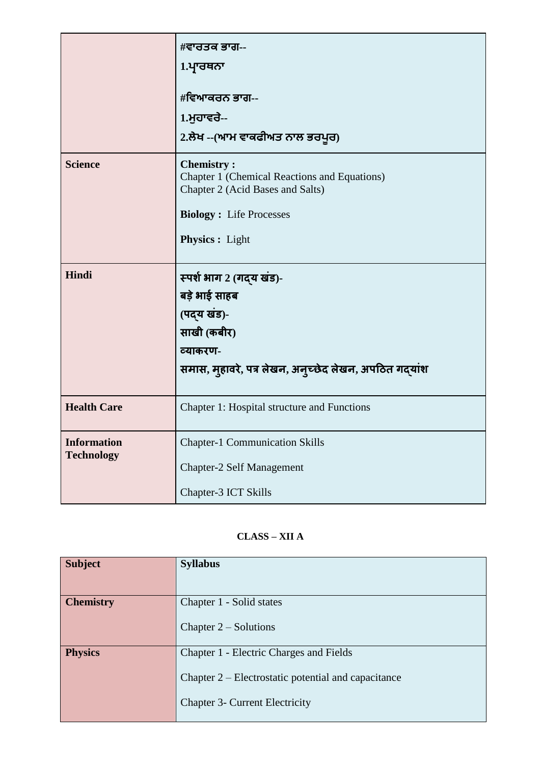|                    | #ਵਾਰਤਕ ਭਾਗ--                                                                                                                            |
|--------------------|-----------------------------------------------------------------------------------------------------------------------------------------|
|                    | 1.ਪ੍ਰਾਰਥਨਾ                                                                                                                              |
|                    | #ਵਿਆਕਰਨ ਭਾਗ--                                                                                                                           |
|                    | 1.ਮੁਹਾਵਰੇ--                                                                                                                             |
|                    | 2.ਲੇਖ --(ਆਮ ਵਾਕਫੀਅਤ ਨਾਲ ਭਰਪੂਰ)                                                                                                          |
| <b>Science</b>     | <b>Chemistry:</b><br>Chapter 1 (Chemical Reactions and Equations)<br>Chapter 2 (Acid Bases and Salts)<br><b>Biology: Life Processes</b> |
|                    | <b>Physics:</b> Light                                                                                                                   |
| Hindi              | स्पर्श भाग 2 (गद्य खंड)-                                                                                                                |
|                    | बड़े भाई साहब                                                                                                                           |
|                    | (पद्य खंड)-                                                                                                                             |
|                    | साखी (कबीर)                                                                                                                             |
|                    | व्याकरण-                                                                                                                                |
|                    | समास, मुहावरे, पत्र लेखन, अनुच्छेद लेखन, अपठित गद्यांश                                                                                  |
| <b>Health Care</b> | Chapter 1: Hospital structure and Functions                                                                                             |
| <b>Information</b> | <b>Chapter-1 Communication Skills</b>                                                                                                   |
| <b>Technology</b>  | <b>Chapter-2 Self Management</b>                                                                                                        |
|                    | Chapter-3 ICT Skills                                                                                                                    |

## **CLASS – XII A**

| <b>Subject</b>   | <b>Syllabus</b>                                                                                                                         |
|------------------|-----------------------------------------------------------------------------------------------------------------------------------------|
| <b>Chemistry</b> | Chapter 1 - Solid states<br>Chapter $2$ – Solutions                                                                                     |
| <b>Physics</b>   | Chapter 1 - Electric Charges and Fields<br>Chapter 2 – Electrostatic potential and capacitance<br><b>Chapter 3- Current Electricity</b> |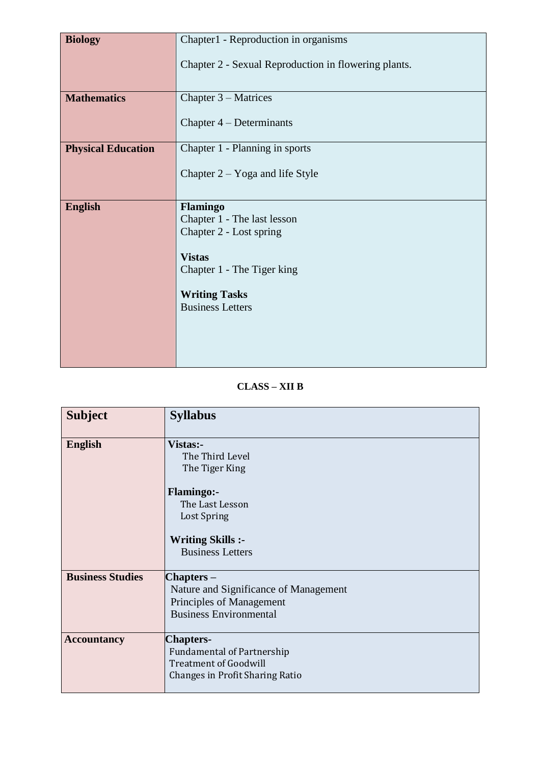| <b>Biology</b>            | Chapter1 - Reproduction in organisms                 |
|---------------------------|------------------------------------------------------|
|                           |                                                      |
|                           | Chapter 2 - Sexual Reproduction in flowering plants. |
|                           |                                                      |
|                           |                                                      |
| <b>Mathematics</b>        | Chapter $3 - Matrices$                               |
|                           |                                                      |
|                           | Chapter $4$ – Determinants                           |
|                           |                                                      |
| <b>Physical Education</b> | Chapter 1 - Planning in sports                       |
|                           |                                                      |
|                           | Chapter $2 - Y$ oga and life Style                   |
|                           |                                                      |
|                           |                                                      |
| <b>English</b>            | <b>Flamingo</b>                                      |
|                           | Chapter 1 - The last lesson                          |
|                           | Chapter 2 - Lost spring                              |
|                           |                                                      |
|                           |                                                      |
|                           | <b>Vistas</b>                                        |
|                           | Chapter 1 - The Tiger king                           |
|                           |                                                      |
|                           |                                                      |
|                           | <b>Writing Tasks</b><br><b>Business Letters</b>      |
|                           |                                                      |
|                           |                                                      |
|                           |                                                      |
|                           |                                                      |

#### **CLASS – XII B**

| <b>Subject</b>          | <b>Syllabus</b>                                                                                                          |
|-------------------------|--------------------------------------------------------------------------------------------------------------------------|
| <b>English</b>          | Vistas:-<br>The Third Level<br>The Tiger King<br><b>Flamingo:-</b>                                                       |
|                         | The Last Lesson<br>Lost Spring<br><b>Writing Skills :-</b><br><b>Business Letters</b>                                    |
| <b>Business Studies</b> | Chapters –<br>Nature and Significance of Management<br>Principles of Management<br><b>Business Environmental</b>         |
| <b>Accountancy</b>      | <b>Chapters-</b><br><b>Fundamental of Partnership</b><br><b>Treatment of Goodwill</b><br>Changes in Profit Sharing Ratio |